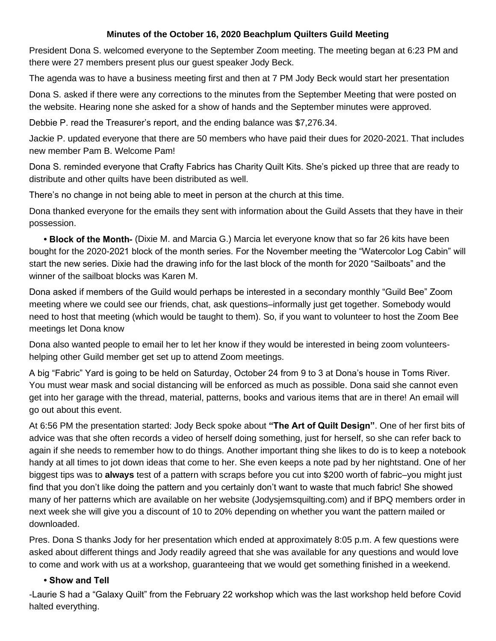## **Minutes of the October 16, 2020 Beachplum Quilters Guild Meeting**

President Dona S. welcomed everyone to the September Zoom meeting. The meeting began at 6:23 PM and there were 27 members present plus our guest speaker Jody Beck.

The agenda was to have a business meeting first and then at 7 PM Jody Beck would start her presentation

Dona S. asked if there were any corrections to the minutes from the September Meeting that were posted on the website. Hearing none she asked for a show of hands and the September minutes were approved.

Debbie P. read the Treasurer's report, and the ending balance was \$7,276.34.

Jackie P. updated everyone that there are 50 members who have paid their dues for 2020-2021. That includes new member Pam B. Welcome Pam!

Dona S. reminded everyone that Crafty Fabrics has Charity Quilt Kits. She's picked up three that are ready to distribute and other quilts have been distributed as well.

There's no change in not being able to meet in person at the church at this time.

Dona thanked everyone for the emails they sent with information about the Guild Assets that they have in their possession.

**• Block of the Month-** (Dixie M. and Marcia G.) Marcia let everyone know that so far 26 kits have been bought for the 2020-2021 block of the month series. For the November meeting the "Watercolor Log Cabin" will start the new series. Dixie had the drawing info for the last block of the month for 2020 "Sailboats" and the winner of the sailboat blocks was Karen M.

Dona asked if members of the Guild would perhaps be interested in a secondary monthly "Guild Bee" Zoom meeting where we could see our friends, chat, ask questions–informally just get together. Somebody would need to host that meeting (which would be taught to them). So, if you want to volunteer to host the Zoom Bee meetings let Dona know

Dona also wanted people to email her to let her know if they would be interested in being zoom volunteershelping other Guild member get set up to attend Zoom meetings.

A big "Fabric" Yard is going to be held on Saturday, October 24 from 9 to 3 at Dona's house in Toms River. You must wear mask and social distancing will be enforced as much as possible. Dona said she cannot even get into her garage with the thread, material, patterns, books and various items that are in there! An email will go out about this event.

At 6:56 PM the presentation started: Jody Beck spoke about **"The Art of Quilt Design"**. One of her first bits of advice was that she often records a video of herself doing something, just for herself, so she can refer back to again if she needs to remember how to do things. Another important thing she likes to do is to keep a notebook handy at all times to jot down ideas that come to her. She even keeps a note pad by her nightstand. One of her biggest tips was to **always** test of a pattern with scraps before you cut into \$200 worth of fabric–you might just find that you don't like doing the pattern and you certainly don't want to waste that much fabric! She showed many of her patterns which are available on her website (Jodysjemsquilting.com) and if BPQ members order in next week she will give you a discount of 10 to 20% depending on whether you want the pattern mailed or downloaded.

Pres. Dona S thanks Jody for her presentation which ended at approximately 8:05 p.m. A few questions were asked about different things and Jody readily agreed that she was available for any questions and would love to come and work with us at a workshop, guaranteeing that we would get something finished in a weekend.

## **• Show and Tell**

-Laurie S had a "Galaxy Quilt" from the February 22 workshop which was the last workshop held before Covid halted everything.